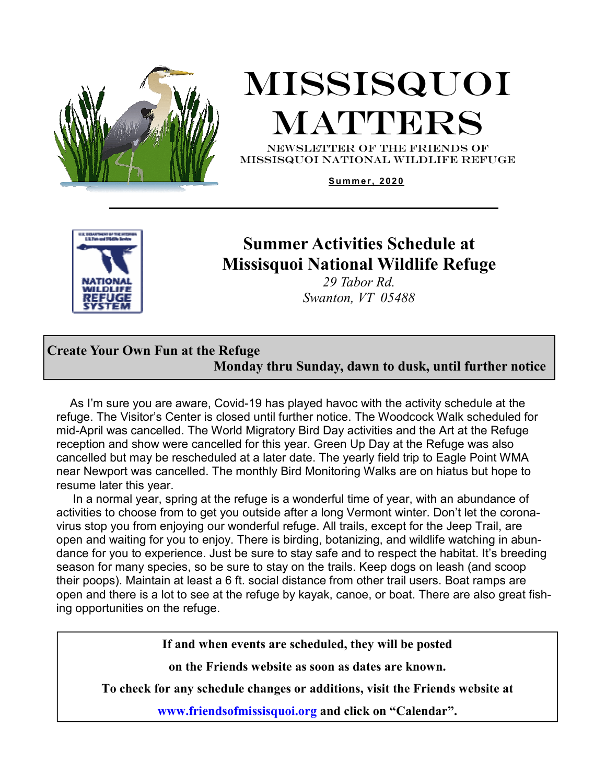

# Missisquoi **MATTERS**

NEWSLETTER OF THE Friends of missisquoi national Wildlife refuge

**S u m m e r, 2 02 0** 



### **Summer Activities Schedule at Missisquoi National Wildlife Refuge**

*29 Tabor Rd. Swanton, VT 05488*

### **Create Your Own Fun at the Refuge Monday thru Sunday, dawn to dusk, until further notice**

 As I'm sure you are aware, Covid-19 has played havoc with the activity schedule at the refuge. The Visitor's Center is closed until further notice. The Woodcock Walk scheduled for mid-April was cancelled. The World Migratory Bird Day activities and the Art at the Refuge reception and show were cancelled for this year. Green Up Day at the Refuge was also cancelled but may be rescheduled at a later date. The yearly field trip to Eagle Point WMA near Newport was cancelled. The monthly Bird Monitoring Walks are on hiatus but hope to resume later this year.

 In a normal year, spring at the refuge is a wonderful time of year, with an abundance of activities to choose from to get you outside after a long Vermont winter. Don't let the coronavirus stop you from enjoying our wonderful refuge. All trails, except for the Jeep Trail, are open and waiting for you to enjoy. There is birding, botanizing, and wildlife watching in abundance for you to experience. Just be sure to stay safe and to respect the habitat. It's breeding season for many species, so be sure to stay on the trails. Keep dogs on leash (and scoop their poops). Maintain at least a 6 ft. social distance from other trail users. Boat ramps are open and there is a lot to see at the refuge by kayak, canoe, or boat. There are also great fishing opportunities on the refuge.

**If and when events are scheduled, they will be posted** 

**on the Friends website as soon as dates are known.** 

**To check for any schedule changes or additions, visit the Friends website at** 

**www.friendsofmissisquoi.org and click on "Calendar".**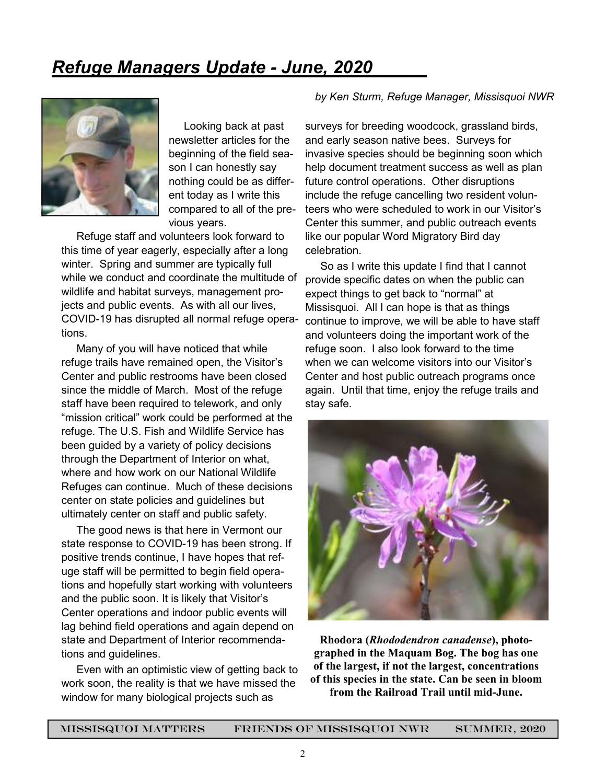# *Refuge Managers Update - June, 2020 \_\_\_\_\_*



 Looking back at past newsletter articles for the beginning of the field season I can honestly say nothing could be as different today as I write this compared to all of the previous years.

 Refuge staff and volunteers look forward to this time of year eagerly, especially after a long winter. Spring and summer are typically full while we conduct and coordinate the multitude of wildlife and habitat surveys, management projects and public events. As with all our lives, COVID-19 has disrupted all normal refuge operations.

 Many of you will have noticed that while refuge trails have remained open, the Visitor's Center and public restrooms have been closed since the middle of March. Most of the refuge staff have been required to telework, and only "mission critical" work could be performed at the refuge. The U.S. Fish and Wildlife Service has been guided by a variety of policy decisions through the Department of Interior on what, where and how work on our National Wildlife Refuges can continue. Much of these decisions center on state policies and guidelines but ultimately center on staff and public safety.

 The good news is that here in Vermont our state response to COVID-19 has been strong. If positive trends continue, I have hopes that refuge staff will be permitted to begin field operations and hopefully start working with volunteers and the public soon. It is likely that Visitor's Center operations and indoor public events will lag behind field operations and again depend on state and Department of Interior recommendations and guidelines.

 Even with an optimistic view of getting back to work soon, the reality is that we have missed the window for many biological projects such as

#### *by Ken Sturm, Refuge Manager, Missisquoi NWR*

surveys for breeding woodcock, grassland birds, and early season native bees. Surveys for invasive species should be beginning soon which help document treatment success as well as plan future control operations. Other disruptions include the refuge cancelling two resident volunteers who were scheduled to work in our Visitor's Center this summer, and public outreach events like our popular Word Migratory Bird day celebration.

 So as I write this update I find that I cannot provide specific dates on when the public can expect things to get back to "normal" at Missisquoi. All I can hope is that as things continue to improve, we will be able to have staff and volunteers doing the important work of the refuge soon. I also look forward to the time when we can welcome visitors into our Visitor's Center and host public outreach programs once again. Until that time, enjoy the refuge trails and stay safe.



**Rhodora (***Rhododendron canadense***), photographed in the Maquam Bog. The bog has one of the largest, if not the largest, concentrations of this species in the state. Can be seen in bloom from the Railroad Trail until mid-June.**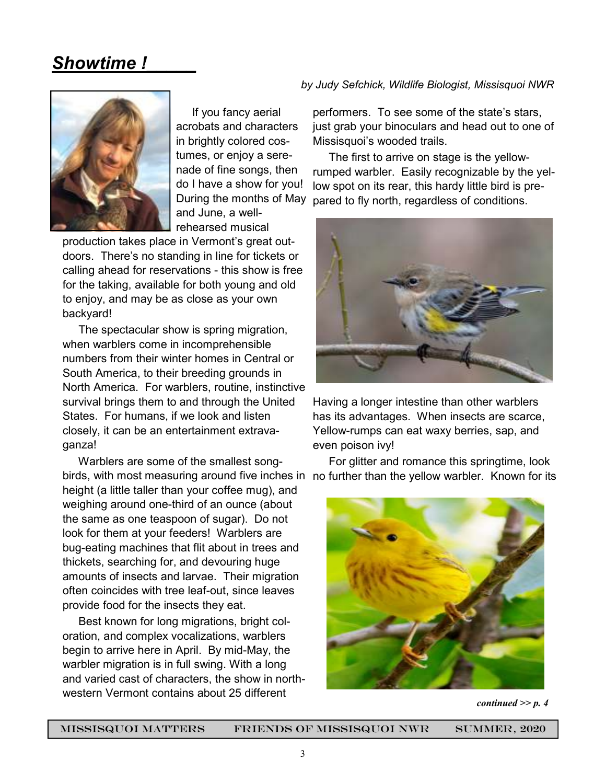### *Showtime !\_\_\_\_\_*



 If you fancy aerial acrobats and characters in brightly colored costumes, or enjoy a serenade of fine songs, then do I have a show for you! During the months of May and June, a wellrehearsed musical

production takes place in Vermont's great outdoors. There's no standing in line for tickets or calling ahead for reservations - this show is free for the taking, available for both young and old to enjoy, and may be as close as your own backyard!

 The spectacular show is spring migration, when warblers come in incomprehensible numbers from their winter homes in Central or South America, to their breeding grounds in North America. For warblers, routine, instinctive survival brings them to and through the United States. For humans, if we look and listen closely, it can be an entertainment extravaganza!

 Warblers are some of the smallest songheight (a little taller than your coffee mug), and weighing around one-third of an ounce (about the same as one teaspoon of sugar). Do not look for them at your feeders! Warblers are bug-eating machines that flit about in trees and thickets, searching for, and devouring huge amounts of insects and larvae. Their migration often coincides with tree leaf-out, since leaves provide food for the insects they eat.

 Best known for long migrations, bright coloration, and complex vocalizations, warblers begin to arrive here in April. By mid-May, the warbler migration is in full swing. With a long and varied cast of characters, the show in northwestern Vermont contains about 25 different

#### *by Judy Sefchick, Wildlife Biologist, Missisquoi NWR*

performers. To see some of the state's stars, just grab your binoculars and head out to one of Missisquoi's wooded trails.

 The first to arrive on stage is the yellowrumped warbler. Easily recognizable by the yellow spot on its rear, this hardy little bird is prepared to fly north, regardless of conditions.



Having a longer intestine than other warblers has its advantages. When insects are scarce, Yellow-rumps can eat waxy berries, sap, and even poison ivy!

birds, with most measuring around five inches in no further than the yellow warbler. Known for its For glitter and romance this springtime, look



*continued >> p. 4*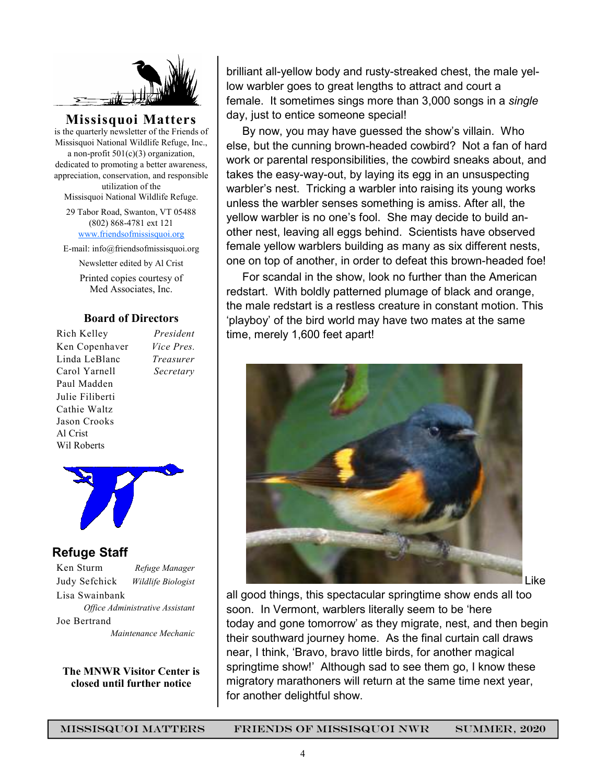

**Missisquoi Matters**  is the quarterly newsletter of the Friends of Missisquoi National Wildlife Refuge, Inc., a non-profit  $501(c)(3)$  organization, dedicated to promoting a better awareness, appreciation, conservation, and responsible utilization of the

Missisquoi National Wildlife Refuge.

29 Tabor Road, Swanton, VT 05488 (802) 868-4781 ext 121 www.friendsofmissisquoi.org

E-mail: info@friendsofmissisquoi.org

Newsletter edited by Al Crist

Printed copies courtesy of Med Associates, Inc.

#### **Board of Directors**

Rich Kelley *President* Ken Copenhaver *Vice Pres.* Linda LeBlanc *Treasurer* Carol Yarnell *Secretary*  Paul Madden Julie Filiberti Cathie Waltz Jason Crooks Al Crist Wil Roberts



#### **Refuge Staff**

Ken Sturm *Refuge Manager* Judy Sefchick *Wildlife Biologist* Lisa Swainbank *Office Administrative Assistant*  Joe Bertrand  *Maintenance Mechanic* 

**The MNWR Visitor Center is closed until further notice** 

brilliant all-yellow body and rusty-streaked chest, the male yellow warbler goes to great lengths to attract and court a female. It sometimes sings more than 3,000 songs in a *single* day, just to entice someone special!

 By now, you may have guessed the show's villain. Who else, but the cunning brown-headed cowbird? Not a fan of hard work or parental responsibilities, the cowbird sneaks about, and takes the easy-way-out, by laying its egg in an unsuspecting warbler's nest. Tricking a warbler into raising its young works unless the warbler senses something is amiss. After all, the yellow warbler is no one's fool. She may decide to build another nest, leaving all eggs behind. Scientists have observed female yellow warblers building as many as six different nests, one on top of another, in order to defeat this brown-headed foe!

 For scandal in the show, look no further than the American redstart. With boldly patterned plumage of black and orange, the male redstart is a restless creature in constant motion. This 'playboy' of the bird world may have two mates at the same time, merely 1,600 feet apart!



all good things, this spectacular springtime show ends all too soon. In Vermont, warblers literally seem to be 'here today and gone tomorrow' as they migrate, nest, and then begin their southward journey home. As the final curtain call draws near, I think, 'Bravo, bravo little birds, for another magical springtime show!' Although sad to see them go, I know these migratory marathoners will return at the same time next year, for another delightful show.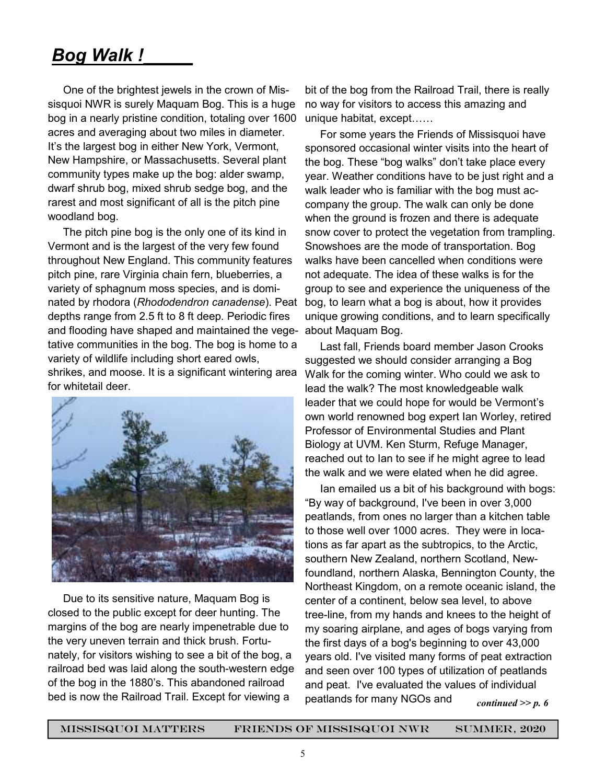## *Bog Walk !\_\_\_\_\_*

 One of the brightest jewels in the crown of Missisquoi NWR is surely Maquam Bog. This is a huge bog in a nearly pristine condition, totaling over 1600 acres and averaging about two miles in diameter. It's the largest bog in either New York, Vermont, New Hampshire, or Massachusetts. Several plant community types make up the bog: alder swamp, dwarf shrub bog, mixed shrub sedge bog, and the rarest and most significant of all is the pitch pine woodland bog.

 The pitch pine bog is the only one of its kind in Vermont and is the largest of the very few found throughout New England. This community features pitch pine, rare Virginia chain fern, blueberries, a variety of sphagnum moss species, and is dominated by rhodora (*Rhododendron canadense*). Peat depths range from 2.5 ft to 8 ft deep. Periodic fires and flooding have shaped and maintained the vegetative communities in the bog. The bog is home to a variety of wildlife including short eared owls, shrikes, and moose. It is a significant wintering area for whitetail deer.



 Due to its sensitive nature, Maquam Bog is closed to the public except for deer hunting. The margins of the bog are nearly impenetrable due to the very uneven terrain and thick brush. Fortunately, for visitors wishing to see a bit of the bog, a railroad bed was laid along the south-western edge of the bog in the 1880's. This abandoned railroad bed is now the Railroad Trail. Except for viewing a

bit of the bog from the Railroad Trail, there is really no way for visitors to access this amazing and unique habitat, except......

 For some years the Friends of Missisquoi have sponsored occasional winter visits into the heart of the bog. These "bog walks" don't take place every year. Weather conditions have to be just right and a walk leader who is familiar with the bog must accompany the group. The walk can only be done when the ground is frozen and there is adequate snow cover to protect the vegetation from trampling. Snowshoes are the mode of transportation. Bog walks have been cancelled when conditions were not adequate. The idea of these walks is for the group to see and experience the uniqueness of the bog, to learn what a bog is about, how it provides unique growing conditions, and to learn specifically about Maquam Bog.

 Last fall, Friends board member Jason Crooks suggested we should consider arranging a Bog Walk for the coming winter. Who could we ask to lead the walk? The most knowledgeable walk leader that we could hope for would be Vermont's own world renowned bog expert Ian Worley, retired Professor of Environmental Studies and Plant Biology at UVM. Ken Sturm, Refuge Manager, reached out to Ian to see if he might agree to lead the walk and we were elated when he did agree.

 Ian emailed us a bit of his background with bogs: "By way of background, I've been in over 3,000 peatlands, from ones no larger than a kitchen table to those well over 1000 acres. They were in locations as far apart as the subtropics, to the Arctic, southern New Zealand, northern Scotland, Newfoundland, northern Alaska, Bennington County, the Northeast Kingdom, on a remote oceanic island, the center of a continent, below sea level, to above tree-line, from my hands and knees to the height of my soaring airplane, and ages of bogs varying from the first days of a bog's beginning to over 43,000 years old. I've visited many forms of peat extraction and seen over 100 types of utilization of peatlands and peat. I've evaluated the values of individual peatlands for many NGOs and *continued >> p. 6*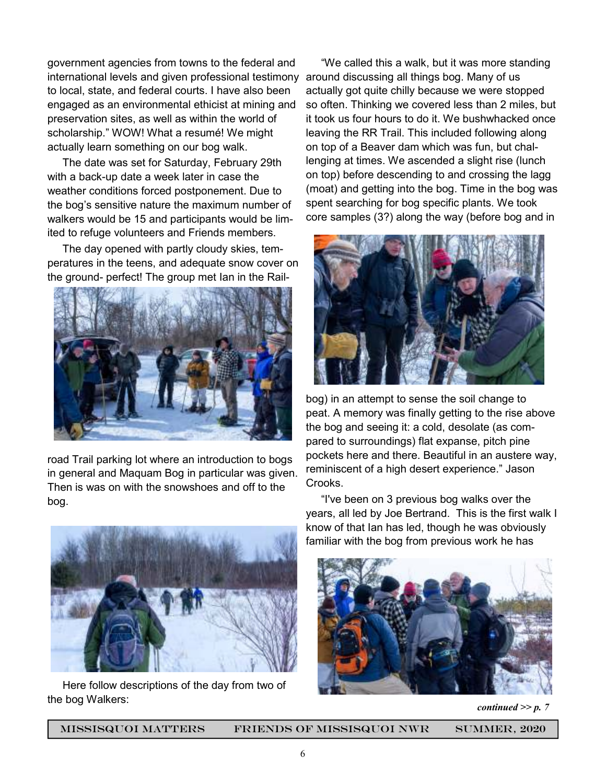government agencies from towns to the federal and international levels and given professional testimony around discussing all things bog. Many of us to local, state, and federal courts. I have also been engaged as an environmental ethicist at mining and preservation sites, as well as within the world of scholarship." WOW! What a resumé! We might actually learn something on our bog walk.

 The date was set for Saturday, February 29th with a back-up date a week later in case the weather conditions forced postponement. Due to the bog's sensitive nature the maximum number of walkers would be 15 and participants would be limited to refuge volunteers and Friends members.

 The day opened with partly cloudy skies, temperatures in the teens, and adequate snow cover on the ground- perfect! The group met Ian in the Rail-



road Trail parking lot where an introduction to bogs in general and Maquam Bog in particular was given. Then is was on with the snowshoes and off to the bog.



 Here follow descriptions of the day from two of the bog Walkers:

 "We called this a walk, but it was more standing actually got quite chilly because we were stopped so often. Thinking we covered less than 2 miles, but it took us four hours to do it. We bushwhacked once leaving the RR Trail. This included following along on top of a Beaver dam which was fun, but challenging at times. We ascended a slight rise (lunch on top) before descending to and crossing the lagg (moat) and getting into the bog. Time in the bog was spent searching for bog specific plants. We took core samples (3?) along the way (before bog and in



bog) in an attempt to sense the soil change to peat. A memory was finally getting to the rise above the bog and seeing it: a cold, desolate (as compared to surroundings) flat expanse, pitch pine pockets here and there. Beautiful in an austere way, reminiscent of a high desert experience." Jason Crooks.

 "I've been on 3 previous bog walks over the years, all led by Joe Bertrand. This is the first walk I know of that Ian has led, though he was obviously familiar with the bog from previous work he has



*continued >> p. 7* 

missisquoi matters Friends of Missisquoi NWR Summer, 2020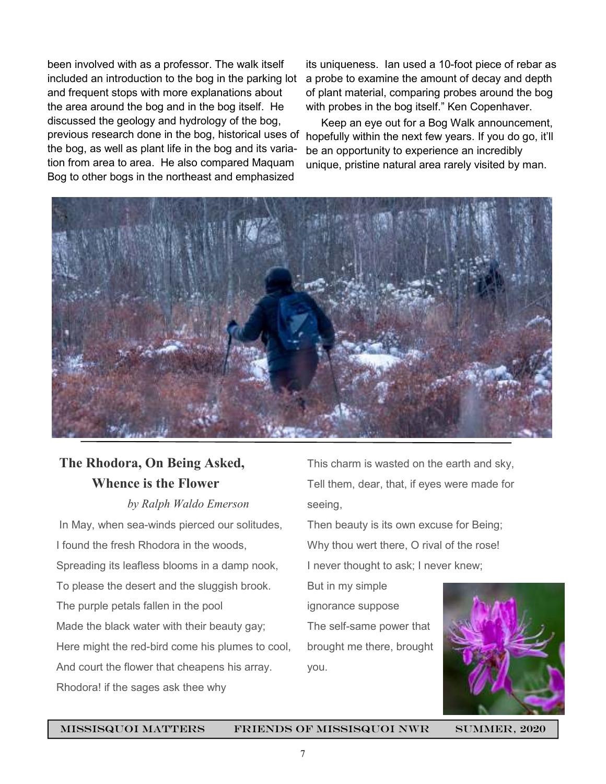been involved with as a professor. The walk itself included an introduction to the bog in the parking lot and frequent stops with more explanations about the area around the bog and in the bog itself. He discussed the geology and hydrology of the bog, previous research done in the bog, historical uses of the bog, as well as plant life in the bog and its variation from area to area. He also compared Maquam Bog to other bogs in the northeast and emphasized

its uniqueness. Ian used a 10-foot piece of rebar as a probe to examine the amount of decay and depth of plant material, comparing probes around the bog with probes in the bog itself." Ken Copenhaver.

 Keep an eye out for a Bog Walk announcement, hopefully within the next few years. If you do go, it'll be an opportunity to experience an incredibly unique, pristine natural area rarely visited by man.



### **The Rhodora, On Being Asked, Whence is the Flower**

*by Ralph Waldo Emerson* 

In May, when sea-winds pierced our solitudes, I found the fresh Rhodora in the woods, Spreading its leafless blooms in a damp nook, To please the desert and the sluggish brook. The purple petals fallen in the pool Made the black water with their beauty gay; Here might the red-bird come his plumes to cool, And court the flower that cheapens his array. Rhodora! if the sages ask thee why

This charm is wasted on the earth and sky, Tell them, dear, that, if eyes were made for seeing,

Then beauty is its own excuse for Being; Why thou wert there, O rival of the rose! I never thought to ask; I never knew;

But in my simple ignorance suppose The self-same power that brought me there, brought you.



missisquoi matters Friends of Missisquoi NWR Summer, 2020